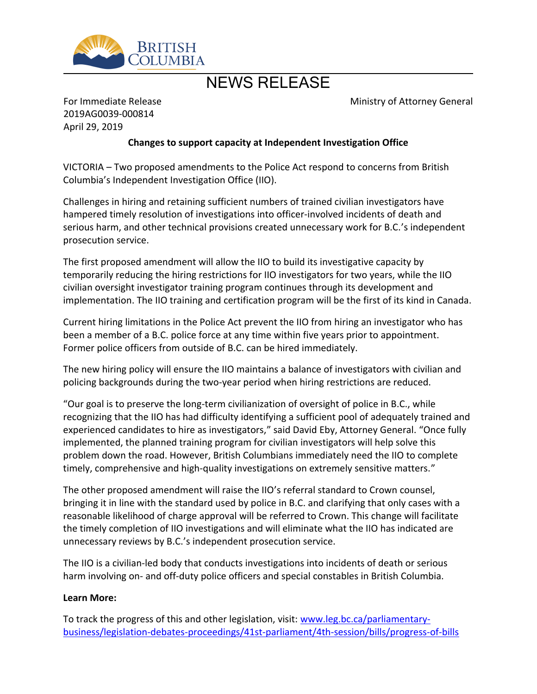

## NEWS RELEASE

Ministry of Attorney General

For Immediate Release 2019AG0039-000814 April 29, 2019

## **Changes to support capacity at Independent Investigation Office**

VICTORIA – Two proposed amendments to the Police Act respond to concerns from British Columbia's Independent Investigation Office (IIO).

Challenges in hiring and retaining sufficient numbers of trained civilian investigators have hampered timely resolution of investigations into officer-involved incidents of death and serious harm, and other technical provisions created unnecessary work for B.C.'s independent prosecution service.

The first proposed amendment will allow the IIO to build its investigative capacity by temporarily reducing the hiring restrictions for IIO investigators for two years, while the IIO civilian oversight investigator training program continues through its development and implementation. The IIO training and certification program will be the first of its kind in Canada.

Current hiring limitations in the Police Act prevent the IIO from hiring an investigator who has been a member of a B.C. police force at any time within five years prior to appointment. Former police officers from outside of B.C. can be hired immediately.

The new hiring policy will ensure the IIO maintains a balance of investigators with civilian and policing backgrounds during the two-year period when hiring restrictions are reduced.

͞Our goal is to preserve the long-term civilianization of oversight of police in B.C., while recognizing that the IIO has had difficulty identifying a sufficient pool of adequately trained and experienced candidates to hire as investigators," said David Eby, Attorney General. "Once fully implemented, the planned training program for civilian investigators will help solve this problem down the road. However, British Columbians immediately need the IIO to complete timely, comprehensive and high-quality investigations on extremely sensitive matters.<sup>"</sup>

The other proposed amendment will raise the IIO's referral standard to Crown counsel, bringing it in line with the standard used by police in B.C. and clarifying that only cases with a reasonable likelihood of charge approval will be referred to Crown. This change will facilitate the timely completion of IIO investigations and will eliminate what the IIO has indicated are unnecessary reviews by B.C.'s independent prosecution service.

The IIO is a civilian-led body that conducts investigations into incidents of death or serious harm involving on- and off-duty police officers and special constables in British Columbia.

## **Learn More:**

To track the progress of this and other legislation, visit: [www.leg.bc.ca/parliamentary](http://www.leg.bc.ca/parliamentary-business/legislation-debates-proceedings/41st-parliament/4th-session/bills/progress-of-bills)[business/legislation-debates-proceedings/41st-parliament/4th-session/bills/progress-of-bills](http://www.leg.bc.ca/parliamentary-business/legislation-debates-proceedings/41st-parliament/4th-session/bills/progress-of-bills)